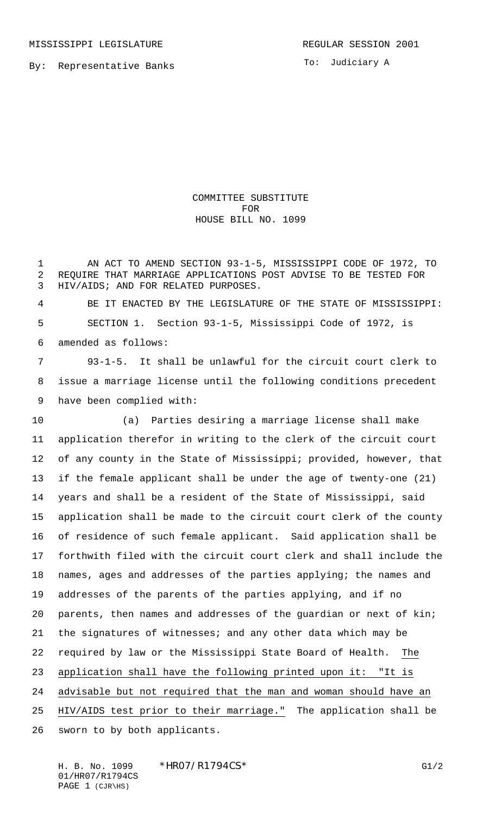By: Representative Banks

To: Judiciary A

COMMITTEE SUBSTITUTE FOR HOUSE BILL NO. 1099

 AN ACT TO AMEND SECTION 93-1-5, MISSISSIPPI CODE OF 1972, TO REQUIRE THAT MARRIAGE APPLICATIONS POST ADVISE TO BE TESTED FOR HIV/AIDS; AND FOR RELATED PURPOSES.

 BE IT ENACTED BY THE LEGISLATURE OF THE STATE OF MISSISSIPPI: SECTION 1. Section 93-1-5, Mississippi Code of 1972, is amended as follows:

 93-1-5. It shall be unlawful for the circuit court clerk to issue a marriage license until the following conditions precedent have been complied with:

10 (a) Parties desiring a marriage license shall make application therefor in writing to the clerk of the circuit court of any county in the State of Mississippi; provided, however, that if the female applicant shall be under the age of twenty-one (21) years and shall be a resident of the State of Mississippi, said application shall be made to the circuit court clerk of the county of residence of such female applicant. Said application shall be forthwith filed with the circuit court clerk and shall include the names, ages and addresses of the parties applying; the names and addresses of the parents of the parties applying, and if no parents, then names and addresses of the guardian or next of kin; the signatures of witnesses; and any other data which may be required by law or the Mississippi State Board of Health. The application shall have the following printed upon it: "It is advisable but not required that the man and woman should have an HIV/AIDS test prior to their marriage." The application shall be sworn to by both applicants.

H. B. No. 1099 \* HRO7/R1794CS\* G1/2 01/HR07/R1794CS PAGE 1 (CJR\HS)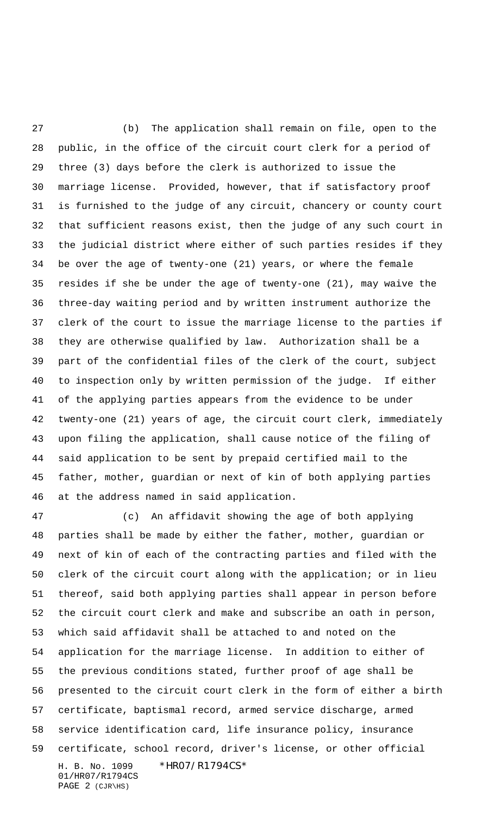27 (b) The application shall remain on file, open to the public, in the office of the circuit court clerk for a period of three (3) days before the clerk is authorized to issue the marriage license. Provided, however, that if satisfactory proof is furnished to the judge of any circuit, chancery or county court that sufficient reasons exist, then the judge of any such court in the judicial district where either of such parties resides if they be over the age of twenty-one (21) years, or where the female resides if she be under the age of twenty-one (21), may waive the three-day waiting period and by written instrument authorize the clerk of the court to issue the marriage license to the parties if they are otherwise qualified by law. Authorization shall be a part of the confidential files of the clerk of the court, subject to inspection only by written permission of the judge. If either of the applying parties appears from the evidence to be under twenty-one (21) years of age, the circuit court clerk, immediately upon filing the application, shall cause notice of the filing of said application to be sent by prepaid certified mail to the father, mother, guardian or next of kin of both applying parties at the address named in said application.

H. B. No. 1099 \*HR07/R1794CS\* 01/HR07/R1794CS PAGE 2 (CJR\HS) 47 (c) An affidavit showing the age of both applying parties shall be made by either the father, mother, guardian or next of kin of each of the contracting parties and filed with the clerk of the circuit court along with the application; or in lieu thereof, said both applying parties shall appear in person before the circuit court clerk and make and subscribe an oath in person, which said affidavit shall be attached to and noted on the application for the marriage license. In addition to either of the previous conditions stated, further proof of age shall be presented to the circuit court clerk in the form of either a birth certificate, baptismal record, armed service discharge, armed service identification card, life insurance policy, insurance certificate, school record, driver's license, or other official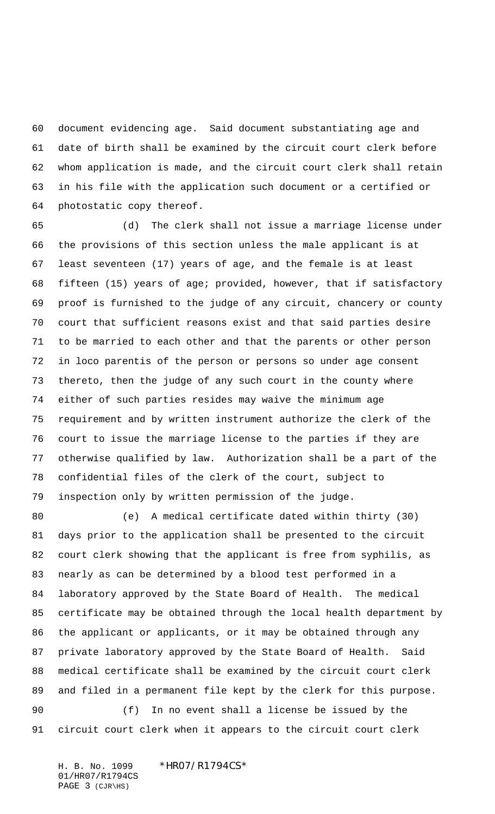document evidencing age. Said document substantiating age and date of birth shall be examined by the circuit court clerk before whom application is made, and the circuit court clerk shall retain in his file with the application such document or a certified or photostatic copy thereof.

65 (d) The clerk shall not issue a marriage license under the provisions of this section unless the male applicant is at least seventeen (17) years of age, and the female is at least fifteen (15) years of age; provided, however, that if satisfactory proof is furnished to the judge of any circuit, chancery or county court that sufficient reasons exist and that said parties desire to be married to each other and that the parents or other person in loco parentis of the person or persons so under age consent thereto, then the judge of any such court in the county where either of such parties resides may waive the minimum age requirement and by written instrument authorize the clerk of the court to issue the marriage license to the parties if they are otherwise qualified by law. Authorization shall be a part of the confidential files of the clerk of the court, subject to inspection only by written permission of the judge.

80 (e) A medical certificate dated within thirty (30) days prior to the application shall be presented to the circuit court clerk showing that the applicant is free from syphilis, as nearly as can be determined by a blood test performed in a laboratory approved by the State Board of Health. The medical certificate may be obtained through the local health department by the applicant or applicants, or it may be obtained through any private laboratory approved by the State Board of Health. Said medical certificate shall be examined by the circuit court clerk and filed in a permanent file kept by the clerk for this purpose. 90 (f) In no event shall a license be issued by the circuit court clerk when it appears to the circuit court clerk

H. B. No. 1099 \*HR07/R1794CS\* 01/HR07/R1794CS PAGE 3 (CJR\HS)